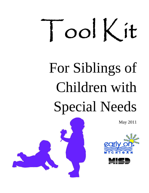# Ool Kit

# For Siblings of Children with Special Needs

May 2011



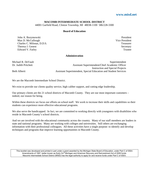#### **[www.misd.net](http://www.google.com/url?q=http%3A%2F%2Fwww.misd.net&sa=D&sntz=1&usg=AFQjCNFmdf802WFZTfcqMdgRZfE66fXbBg)**

#### **MACOMB INTERMEDIATE SCHOOL DISTRICT**

44001 Garfield Road, Clinton Township, MI 48038-1100 586/228-3300

#### **Board of Education**

John A. Bozymowski President Max D. McCullough Vice President Charles C. Milonas, D.D.S. Treasurer Theresa J. Genest Secretary Secretary Secretary Secretary Secretary Secretary Secretary Secretary Secretary Secretary Secretary Secretary Secretary Secretary Secretary Secretary Secretary Secretary Secretary Secretary Secr Edward V. Farley Trustee

#### **Administration**

Michael R. DeVault Superintendent Dr. Judith Pritchett Assistant Superintendent/Chief Academic Officer Instruction and Special Projects Beth Alberti Assistant Superintendent, Special Education and Student Services

We are the Macomb Intermediate School District.

We exist to provide our clients quality service, high caliber support, and cutting edge leadership.

Our primary clients are the 21 school districts of Macomb County. They are our most important customers – indeed, our reason for being.

Within these districts we focus our efforts on school staff. We work to increase their skills and capabilities so their students can experience more effective educational programs.

We also serve the handicapped. In fact, we are committed to working directly with youngsters with disabilities who reside in Macomb County's school districts.

And we are involved with the educational community across the country. Many of our staff members are leaders in state and national programs. Many are working with colleges and universities. Still others are exchanging information with their professional colleagues. All these activities have a single purpose: to identify and develop techniques and programs that improve learning opportunities in Macomb County.

This booklet was developed and printed in part under a grant awarded by the Michigan State Board of Education, under Part C of IDEA Amendments of 1997, better known as Early On<sup>@</sup> Michigan and American Recovery and Reinvestment Act of 2009 funds. Macomb Intermediate School District (MISD) has the legal authority to apply for and receive funds under Part C of IDEA.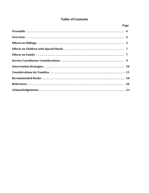# **Table of Contents**

| Page |
|------|
|      |
|      |
|      |
|      |
|      |
|      |
|      |
|      |
|      |
|      |
|      |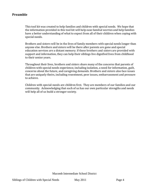#### **Preamble**

This tool kit was created to help families and children with special needs. We hope that the information provided in this tool kit will help ease familial worries and help families have a better understanding of what to expect from all of their children when coping with special needs.

Brothers and sisters will be in the lives of family members with special needs longer than anyone else. Brothers and sisters will be there after parents are gone and special education services are a distant memory. If these brothers and sisters are provided with support and information, they can help their siblings live dignified lives from childhood to their senior years.

Throughout their lives, brothers and sisters share many of the concerns that parents of children with special needs experience, including isolation, a need for information, guilt, concerns about the future, and caregiving demands. Brothers and sisters also face issues that are uniquely theirs, including resentment, peer issues, embarrassment and pressure to achieve.

Children with special‐needs are children first. They are members of our families and our community. Acknowledging that each of us has our own particular strengths and needs will help all of us build a stronger society.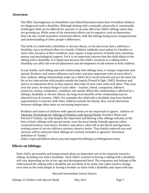#### **O verview**

The ERIC Clearinghouse on Disabilities and Gifted Education states that 5.8 million children are diagnosed with a disability. Although dealing with a mentally, physically or emotionally challenged child can be difficult for parents, it can also affect the child's siblings when they are growing up. While some of the emotional effects can be negative, such as depression, they can also result in positive emotional effects, with the siblings being more compassionate and understanding of other people's differences.

The birth of a child with a disability or chronic illness, or the discovery that a child has a disability, has a profound effect on a family. Children suddenly must adjust to a brother or sister who, because of their condition, may require a large portion of family time, attention, money and psychological support. Yet it is an important concern that the child adjust to the sibling with a disability. It is important because the child's reactions to a sibling with a disability can affect the overall adjustment and development of self‐esteem in both children.

In any family, each sibling and each relationship that siblings have, is unique, important and special. Brothers and sisters influence each other and play important roles in each other's lives. Indeed, sibling relationships make up a child's first social network and are the basis for his or her interactions with people outside the family (Powell & Ogle, 1985). Brothers and sisters are playmates first; as they mature, they take on new roles with each other. They may, over the years, be many things to each other ‐‐ teacher, friend, companion, follower, protector, enemy, competitor, confidant, role model. When this relationship is affected by a sibling's disability or chronic illness, the long‐term benefits of the relationship may be altered (Crnic & Leconte, 1986). For example, the child with a disability may have limited opportunities to interact with other children outside the family; thus, social interaction between siblings often takes on increasing importance.

Brothers and sisters of children with special needs are too important to ignore. Authors of Sibshops: Workshops for Siblings of Children with Special Needs, Donald J. Mejer and Patricia F Vadasy, say that despite the important and lifelong roles siblings will play in the lives of their siblings with special needs, even the most family‐friendly agencies often overlook brothers and sisters. Brothers and sisters, often left in the literal and figurative waiting rooms of service delivery systems, deserve better. True family‐centered care and services will be achieved when siblings are actively included in agencies' functional [definitio](http://www.google.com/url?q=http%3A%2F%2Fspecialchildren.about.com%2Fod%2Fsupportforsiblings%2Fa%2Fsiblingsknow.htm&sa=D&sntz=1&usg=AFQjCNGqJ-dW8NGHS5C4bbeNf84J3FYiyA)n of ''family.''

(http://[specialchildren.about.com/od/supportforsiblings/a/siblingsknow.htm\)](http://www.google.com/url?q=http%3A%2F%2Fspecialchildren.about.com%2Fod%2Fsupportforsiblings%2Fa%2Fsiblingsknow.htm&sa=D&sntz=1&usg=AFQjCNGqJ-dW8NGHS5C4bbeNf84J3FYiyA)

#### **Effects on Siblings:**

Each child's personality and temperament plays an important role in his response toward a sibling, including one with a disability. Each child's reaction to having a sibling with a disability will vary depending on his or her age and developmental level. The responses and feelings of the child toward the sibling with a disability are not likely to be static, but rather tend to change over time as the child adapts to having a brother or sister with a disability and copes with day‐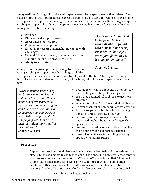to-day realities. Siblings of children with special needs have special needs themselves. Their sister or brother with special needs *will* get a bigger share of attention. While having a sibling with special needs presents challenges, it also comes with opportunities. Kids who grow up with a sibling with special health or developmental needs may have more of a chance to develop many good qualities, including:

- Patience
- Kindness and supportiveness
- Acceptance of differences
- Compassion and helpfulness
- Empathy for others and insight into coping with challenges
- Dependability and loyalty that may come from standing up for their brother or sister
- Ability to advocate

Siblings also can grow up feeling the negative effects of having a sibling with special needs. Siblings of children

*"He is soooo funny! And he helps me be friends with kids like TJ (a child with autism in her class). Even my teacher says I am a good friend to TJ. It's one of my talents!"* 

*Summer, 5, sister* 

with special abilities or needs may act out to get parents' attention. The impact on family dynamics can go much deeper particularly with siblings of children with special‐needs, who may:

*"Kids sometime make fun of my brother and it makes me sad and I have to say, 'Don't make fun of my brother! He has seizures and other stuff he can't help it!' cause I am mad. Sometimes I get embarrassed when kids make fun of him if I'm playing with him cause then they might think that I'm like that, too." Summer, 5, sister* 

- Feel alone or jealous about extra attention for their sibling and interpret it as rejection
- Wish they had medical problems to get more attention
- Worry they might "catch" what their sibling has
- Be overly helpful or non-compliant for attention
- Try to ease parents' burdens by not making demands or feeling guilty if they do
- Feel guilty for their own good health or have negative thoughts about their sibling with special‐needs
- Feel embarrassed or resent having to involve their sibling with neighborhood friends
- Resent having to care for a sibling or worry about their sibling's future

#### **Depression**

Depression, a serious mood disorder in which the patient feels sad or worthless, can affect siblings of a mentally challenged child. The Vanderbilt Kennedy Center reports that research done at the University of Wisconsin‐Madison found that 63 percent of siblings experience depression. Depressive symptoms may be linked to other emotional difficulties, such as the child being resentful or embarrassed by her challenged sibling. The depressed child may also be scared about her sibling, feel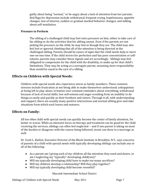guilty about being "normal," or be angry about a lack of attention from her parents. Red flags for depression include withdrawal, frequent crying, hopelessness, appetite changes, loss of interest, sudden or gradual marked behavior changes, and talking about self‐mutilation.

#### **Pressu re to Perform**

The sibling of a challenged child may feel extra pressure on him, either to take care of his sibling or do the activities that his sibling cannot. Even if the parents are not putting the pressure on the child, he may feel as though they are. The child may also feel lost or ignored, thinking that all of the attention is being directed at the challenged sibling. Parents should be aware of signs that the child needs help or more one‐on‐one time. If the child strives for perfection and has poor concentration or self‐ esteem, parents may consider those signals and act accordingly. Siblings may feel obligated to compensate for the child with the disability, to make up for that child's limitations. They may be acting as a surrogate parent, assuming more responsibility than would be usual in the care of a sibling.

#### **ffects on C E hildren with Special Needs:**

Children with special needs also experience stress as family members. These common stresses include frustration at not being able to make themselves understood; unhappiness at being left to play alone; irritation over constant reminders about everything; withdrawal because of lack of social skills; low self‐esteem and anger resulting from an inability to do things as easily and quickly as their brothers and sisters. Through it all, with understanding and support, there are usually many positive interactions and normal sibling give‐and‐take situations from which each learns and matures.

#### **ffect E s on Family:**

All too often child with special needs can quickly become the center of family attention, for better or worse. While an intensive focus on therapy and treatment can be good for the child receiving the services, siblings can often feel neglected ‐‐ and if one parent is taking on most of the burden or disagrees with the course being followed, strain can show in a marriage as well.

Dr. Scott L. Barkin, Executive Director of the Block Institute in Brooklyn, N.Y., says concerns of parents of a child with special needs with typically developing siblings can include any or all of the following:

- As a parent am I giving each of my children all the attention they need and desire, or am I neglecting my "typically" developing child(ren)?
- Will my typically developing child have to make too many sacrifices?
- Will my children develop a relationship? Will they play together?
- Will my typically developing child become resentful?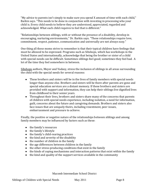"My advice to parents isn't simply to make sure you spend X amount of time with each child," Barkin says. "This needs to be done in conjunction with investing in processing who your child is. Every child needs to believe they are understood, appreciated, regarded and acknowledged. What each child requires to feel that is different."

"Relationships between siblings, with or without the presence of a disability, develop in encouraging, nurturing environments," Dr. Barkin says. "These relationships require love, commitment, respect, patience, communication and universally are not always easy."

One thing all these moms strive to remember is that their typical children have feelings that must be allowed to be expressed. Programs such as Sibshops, which has workshops in the United States and internationally, acknowledge that being the brother or sister of a child with special-needs can be difficult. Sometimes siblings feel good; sometimes they feel bad. A lot of the time they feel somewhere in between.

Sibshops authors, Meyer and Vadasy, stress the inclusion of siblings in all areas surrounding the child with the special needs for several reasons:

- These brothers and sisters will be in the lives of family members with special needs longer than anyone else. Brothers and sisters will be there after parents are gone and special education services are a distant memory. If these brothers and sisters are provided with support and information, they can help their siblings live dignified lives from childhood to their senior years.
- Throughout their lives, brothers and sisters share many of the concerns that parents of children with special needs experience, including isolation, a need for information, guilt, concerns about the future and caregiving demands. Brothers and sisters also face issues that are uniquely theirs, including resentment, peer issues, embarrassment and pressure to achieve.

Finally, the positive or negative nature of the relationships between siblings and among family members may be influenced by factors such as these:

- the family's resources
- the family's lifestyle
- the family's child-rearing practices
- the kind and severity of the disability
- the number of children in the family
- the age differences between children in the family
- the other stress-producing conditions that exist in the family
- the kinds of coping mechanisms and interaction patterns that exist within the family
- the kind and quality of the support services available in the community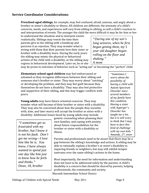### **Service Coordinator Considerations:**

**Preschoolaged siblings**, for example, may feel confused, afraid, anxious, and angry about a brother or sister's disability or illness. All children are different; the intensity of a child's concerns, needs, and experiences will vary from sibling to sibling, as will a child's reaction to and interpretation of events. The younger the child the more difficult it may be for him or her

to understand the situation and to interpret events realistically. Siblings may resent the time their parents give to the sibling with a handicap and perceive it as rejection. They may wonder what is wrong with them that their parents love their sister or brother with a disability more. During the early years the sibling may mimic the physical or behavioral actions of the child with a disability, or the sibling may regress in behavioral development. Later on, he or she

*"During one of my son's long seizures, when he first began getting them, my 5 year old daughter began rolling on the floor and shaking." A mom*

> *"Sometimes I worry about the possibility of*

*having a child with Autism Spectrum Disorder since several members of my family have this condition. Having a sister with Asperger's Disorder has taught me a lot, but it is still scary to think that I may have to face this kind of challenge with my own kids." Amanda, 27, sister*

may be prone to extremes of behavior such as "acting out" or becoming the "perfect" child.

**Elementary schoolaged children** may feel embarrassed or ashamed as they recognize differences between their sibling and someone else's brother or sister. They may worry about "catching" or developing the problem, and they may feel guilt because they themselves do not have a disability. They may also feel protective and supportive of their sibling, and this may trigger conflicts with peers.

**Young adults** may have future‐oriented concerns. They may wonder what will become of their brother or sister with a disability. They may also be concerned about how the people they socialize with, date, and later marry will accept the brother or sister with a disability. Additional issues faced by young adults may include

*"I sometimes get so frustrated with my brother, but I know it is not his fault. Don't get me wrong—I love him like he is. You know, I have always wanted to spend just one day like him just to know how he feels and thinks." Dean, 18, brother* 

genetic counseling when planning their own families, and coping with anxiety about future responsibilities for the brother or sister with a disability or illness.

Parents and professionals need to be aware that there may be a gap between the sibling's knowledge and actions. A sibling may be able to rationally explain a brother's or sister's disability to inquiring friends or neighbors, but may still exhibit temper tantrums over the same sibling's actions in the home.

Macomb Intermediate School District Most importantly, the need for information and understanding does not have to be addressed solely by the parents. A child's disability is a concern that should be shared by parents, helping professionals, the community and society.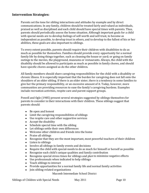#### **I ntervention Strategies:**

Parents set the tone for sibling interactions and attitudes by example and by direct communications. In any family, children should be treated fairly and valued as individuals, praised as well as disciplined and each child should have special times with parents. Thus, parents should periodically assess the home situation. Although important goals for a child with special needs are to develop feelings of self-worth and self-trust, to become as independent as possible, to develop trust in others, and to develop to the fullest of his or her abilities, these goals are also important to siblings.

To every extent possible, parents should require their children with disabilities to do as much as possible for themselves. Families should provide every opportunity for a normal family life by doing things together, such as cleaning the house or yard; or going on family outings to the movies, the playground, museums or restaurants. Always, the child with the disability should be allowed to participate as much as possible in family chores, and should have specific chores assigned as do the other children.

All family members should share caregiving responsibilities for the child with a disability or chronic illness. It is especially important that the burden for caregiving does not fall onto the shoulders of an older sibling. If there is an older sister, there is a tendency in some families to give her the primary responsibility, or an excessive amount of it. Today, however, more communities are providing resources to ease the family's caregiving burdens. Examples include recreation activities, respite care and parent support groups.

Powell and Ogle (1985) present several strategies suggested by siblings themselves for parents to consider in their interactions with their children. These siblings suggest that parents should:

- Be open and honest
- Limit the caregiving responsibilities of siblings
- Use respite care and other supportive services
- Accept the disability
- Schedule special time with the sibling
- Let siblings settle their own differences
- Welcome other children and friends into the home
- Praise all siblings
- Recognize that they are the most important, most powerful teachers of their children
- Listen to siblings
- Involve all siblings in family events and decisions
- Require the child with special-needs to do as much for himself or herself as possible
- Recognize each child's unique qualities and family contribution
- Recognize special stress times for siblings and plan to minimize negative effects
- Use professionals when indicated to help siblings
- Teach siblings to interact
- Provide opportunities for a normal family life and normal family activities
- Join sibling-related organizations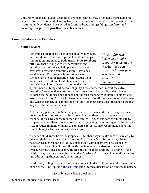Children with special‐needs, disabilities or chronic illness may often need more help and require more attention and planning from their parents and others in order to achieve their maximum independence. The special and unique bond among siblings can foster and encourage the positive growth of the entire family.

#### **Considerations** for **Families**:

#### **Sibling Rivalry**

It is impossible to treat all children equally; however, parents should be as fair as possible and take steps to minimize sibling rivalry. Pediatrician Scott Steinberg, MD. says that dealing with misperceptions and emotional responses can help prevent rivalry and starts with fostering communication. "Try to be a good listener. Encourage siblings to express themselves, including negative feelings. Ask them what they like best and least about each other. Let your children know it's okay to get mad at their

*"It isn't fair when the school for a test at prizes and treats from Lukey gets to miss hospital. He gets everyone and no school!" Summer, 5, sister*

special‐needs sibling and not to feel guilty if they sometimes resent the extra attention." One good way to combat misperceptions, he says, is to describe to children their sibling's special needs or abilities, starting with simple explanations around ages 5 or 6. "Share with them how a health condition is evaluated and treated and what to expect. Talk about their sibling's strengths and weaknesses and the best ways to interact with that child."

Another suggestion from Steinberg is to be sure to have children with special‐needs do as much for themselves as they can and assign them tasks so everybody has responsibilities. Do chores together as a family. He suggests setting siblings up to cooperate rather than compete, for instance by having them race against the clock as a team rather than individually to complete chores. He also recommends devoting time to family activities that everyone enjoys.

"Let each child know he or she is special," Steinberg says. "Make sure they're able to develop their own interests and identity. Try to get a few minutes a day alone between each parent and child." Exclusive time with parents will be especially valuable to the sibling of the child with special‐needs. He also cautions against overburdening older children with care duties for their siblings. All siblings of the child with special‐needs can be enlisted as "partners" with parents in understanding and addressing their sibling's requirements.

In addition, sibling support groups can connect children with others who have similar experiences. The Sibling Support Project facilitated a discussion on SibNet, its listserv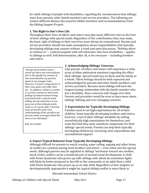for adult siblings of people with disabilities, regarding the considerations that siblings want from parents, other family members and service providers. The following are sixteen different themes discussed by SibNet members and recommendations from the Sibling Support Project:

#### **1. The Right to One's Own Life**

Throughout their lives, brothers and sisters may play many different roles in the lives of their siblings with special needs. Regardless of the contributions they may make, the basic right of siblings to their own lives must always be remembered. Parents and service providers should not make assumptions about responsibilities that typically developing siblings may assume without a frank and open discussion. *"Nothing about us without us"* ‐‐ a phrase popular with self‐advocates who have disabilities ‐‐ applies to siblings as well. Self‐determination, after all, is for everyone ‐‐ including brothers and sisters.

*"Du ring my formative years I woul some jealousy d say there was in However, it wasn't a huge factor due to the significant amount of time and attention my parents spent on my younger sister. that I was quite a bit older than her. In addition, I think as a youth it is pretty common to have some feelings of embarrassment being associated with a special needs sibling, but my experience is you grow out of that attitude pretty early on. As I grew older, I became more protective of her and understanding of the sacrifices my parents made, and appreciated her more as an individual."*

*Bob, 62, brother*

#### **2. Acknowledging Siblings' Concerns**

Like parents, brothers and sisters will experience a wide array of often ambivalent emotions regarding the effect their siblings' special needs has on them and the family as a whole. These feelings should be both expected and acknowledged by parents and other family members and service providers. Because most siblings will have the longest‐lasting relationship with the family member who has a disability, these concerns will change over time. Parents and providers would be wise to learn more about siblings' lifelong and ever‐changing concerns.

#### **3. Expectations for Typically Developing Siblings**

Families need to set high expectations for all of their children. Some typically developing brothers and sisters, however, react to their siblings' disability by setting unrealistically high expectations for themselves, and some feel that they must somehow compensate for their siblings' special needs. Parents can help their typically developing children by conveying clear expectations and unconditional support.

#### **4. Expect Typical Behavior from Typically Developing Siblings**

Although difficult for parents to watch, teasing, name calling, arguing and other forms of conflict are common among most brothers and sisters ‐‐ even when one has special needs. Although parents may be appalled at siblings' harshness toward one another, much of this conflict can be a beneficial part of normal social development. A child with Down Syndrome who grows up with siblings with whom he sometimes fights will likely be better prepared to face life in the community as an adult than a child with Down Syndrome who grows up as an only child. Regardless of how adaptive or developmentally appropriate it might be, typical sibling conflict is more likely to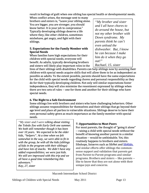result in feelings of guilt when one sibling has special health or developmental needs.<br>When conflict arises, the message sent to many

brothers and sisters is, "Leave your sibling alone. You are bigger, you are stronger, you should know better. It is your job to compromise." Typically developing siblings deserve a life where they, like other children, sometimes misbehave, get angry, and fight with their siblings.

#### **5. Expectations for the Family Member with Special Needs**

When families have high expectations for their benefit. As adults, typically developing brothers and sisters will likely play important roles in the

*"My brother and sister and I all have chores to do around the house, but not my other brother with Down syndrome. My parents think he can't even unload the dishwasher. But, I know he can because I make him do it when they go out!" Rachael, 15, sister*

children with special needs, everyone will<br>benefit. As adults, typically developing bro<br>and sisters will likely play important roles<br>lives of their siblings with disabilities. Pare<br>children with special needs acquire skill lives of their siblings with disabilities. Parents can help siblings now by assisting their children with special needs acquire skills that will allow them to be as independent as possible as adults. To the extent possible, parents should have the same expectations for the child with special needs regarding chores and personal responsibility as they do for their typically developing children. Not only will similar expectations foster independence, they will also minimize the resentment expressed by siblings when there are two sets of rules ‐‐ one for them and another for their siblings who have special needs.

#### **6. The Right to a Safe Environment**

Some siblings live with brothers and sisters who have challenging behaviors. Other siblings assume responsibilities for themselves and their siblings that go beyond their age level and place all parties in vulnerable situations. Siblings deserve to have their own personal safety given as much importance as the family member with special needs.

"My sister and I were talking about visiting somewhat in the way, we were able to fit in *y and have lots of snacks. We didn't have an r Kay, 27, siste the Toledo Zoo with Early On® one summer. We both still remember though it has been over 10 years. We expected to be the older kids, "helpers". At a time when we felt with the group, be with all the kids (siblings of kids in the program with their siblings) added responsibilities; we were just kids. We still are impressed with this trip and we all have a good time remembering this adventure."* 

#### **7. [Opportunities](http://www.google.com/url?q=http%3A%2F%2Fwww.siblingsupport.org%2Fconnect&sa=D&sntz=1&usg=AFQjCNGX-uMYa2fj05P1AtalKpiZe9xI8A) to Meet Peers**

[For most parents, the thought of "going it alone"](http://www.google.com/url?q=http%3A%2F%2Fwww.siblingsupport.org%2Fconnect&sa=D&sntz=1&usg=AFQjCNGX-uMYa2fj05P1AtalKpiZe9xI8A)  [‐‐ raising a child with special needs without the](http://www.google.com/url?q=http%3A%2F%2Fwww.siblingsupport.org%2Fconnect&sa=D&sntz=1&usg=AFQjCNGX-uMYa2fj05P1AtalKpiZe9xI8A)  [benefit of knowing another parent in a simi](http://www.google.com/url?q=http%3A%2F%2Fwww.siblingsupport.org%2Fconnect&sa=D&sntz=1&usg=AFQjCNGX-uMYa2fj05P1AtalKpiZe9xI8A)lar situation -- would be unthinkable. Yet, this [routinely happens to brothers and sist](http://www.google.com/url?q=http%3A%2F%2Fwww.siblingsupport.org%2Fconnect&sa=D&sntz=1&usg=AFQjCNGX-uMYa2fj05P1AtalKpiZe9xI8A)ers. Sibshops, listservs such as SibNet and [SibKids](http://www.google.com/url?q=http%3A%2F%2Fwww.siblingsupport.org%2Fconnect&sa=D&sntz=1&usg=AFQjCNGX-uMYa2fj05P1AtalKpiZe9xI8A), [and similar efforts offer siblings the common‐](http://www.google.com/url?q=http%3A%2F%2Fwww.siblingsupport.org%2Fconnect&sa=D&sntz=1&usg=AFQjCNGX-uMYa2fj05P1AtalKpiZe9xI8A) [sense support and validation that parents get](http://www.google.com/url?q=http%3A%2F%2Fwww.siblingsupport.org%2Fconnect&sa=D&sntz=1&usg=AFQjCNGX-uMYa2fj05P1AtalKpiZe9xI8A)  from Parent‐to‐Parent programs and similar [programs. Brothers and sisters ‐‐ like parents ‐‐](http://www.google.com/url?q=http%3A%2F%2Fwww.siblingsupport.org%2Fconnect&sa=D&sntz=1&usg=AFQjCNGX-uMYa2fj05P1AtalKpiZe9xI8A)  [like to know that they are n](http://www.google.com/url?q=http%3A%2F%2Fwww.siblingsupport.org%2Fconnect&sa=D&sntz=1&usg=AFQjCNGX-uMYa2fj05P1AtalKpiZe9xI8A)ot alone with their unique joys and concerns.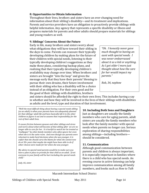#### **8. Opportunities to Obtain Information**

Throughout their lives, brothers and sisters have an ever‐changing need for information about their sibling's disability—and its treatment and implications. Parents and service providers have an obligation to proactively provide siblings with helpful information. Any agency that represents a specific disability or illness and prepares materials for parents and other adults should prepare materials for siblings and young readers as well.

#### **9. Siblings' Concerns About the Future**

Early in life, many brothers and sisters worry about what obligations they will have toward their sibling in the days to come. Parents can reassure their typically developing children by making plans for the future of their children with special needs, listening to their typically developing children's suggestions as they make these plans, considering backup plans, and realizing that their typically developing children's availability may change over time. When brothers and sisters are brought ''into the loop'' and given the message early that they have their parents' blessing to pursue their own dreams, their future involvement with their sibling who has a disability will be a choice instead of an obligation. For their own good and for the good of their siblings with disabilities, brothers

*"Oh. I honestly never gave much thought to having an aunt with special needs. I was never embarrassed about it as a kid or anything. As I got older I more just thought about how the care for her would impact my parents."* 

*Rob, 34, nephew* 

and sisters should be afforded the right to their own lives. This includes having a say in whether and how they will be involved in the lives of their siblings with disabilities as adults and the level, type and duration of that involvement.

*"Well the most difficult thing about having a special needs sibling (as an adult) is when your parents have not adequately planned for that siblings' adult life and have basically left it to the other children to figure it out and to assume that responsibility for the rest of their adult lives.*

*It causes friction between spouses and other siblings and stress and worry about what will become of that sibling after we are no longer able to care for her. It is hurtful to watch her be treated as "wallpaper" by other family members who often ignore her even when she is in the same room. And even though our parents were reluctant to make hard decisions when she was younger, it is unfair that she should carry the blame for what she cannot now do at 50+ years that maybe she might have been able to do if other choices were made for her when she was younger.*

*My advice to special need parents would be to make sure you have a plan in place to provide for that child as an adult. If not everyone in your family will be hurt including the special needs child."*

*Judy, 66, sister*

#### **10. Including Both Sons and Daughters**

Just as daughters are usually the family members who care for aging parents, adult sisters are usually the family members who look after the family member with special needs when parents no longer can. Serious exploration of sharing responsibilities among siblings—including brothers should be considered.

#### **11. Communication**

Although good communication between parents and children is always important, it is especially important in families where there is a child who has special needs. An evening course in active listening can help improve communication among all family members, and books such as *How to Talk*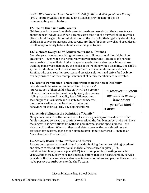*So Kids Will Listen and Listen So Kids Will Talk* (2004) and *Siblings without Rivalry* (1999) (both by Adele Faber and Elaine Mazlish) provide helpful tips on communicating with children.

#### **12. OneonOne Time with Parents**

Children need to know from their parents' deeds and words that their parents care about them as individuals. When parents carve time out of a busy schedule to grab a bite at a local burger joint or window shop at the mall with their typically developing children, it conveys a message that parents are there for them as well and provides an excellent opportunity to talk about a wide range of topics.

#### **13. Celebrate Every Child's Achievements and Milestones**

Over the years, we've met siblings whose parents did not attend their high school graduation ‐‐ even when their children were valedictorians ‐‐ because the parents were unable to leave their child with special needs. We've also met siblings whose wedding plans were dictated by the needs of their sibling with a disability. One child's special needs should not overshadow another's achievements and milestones. Families who seek respite resources and creative solutions and strive for flexibility can help ensure that the accomplishments of all family members are celebrated.

#### **14. Parents' Perspective Is More Important than the Actual Disability**

Parents would be wise to remember that the parents' interpretation of their child's disability will be a greater influence on the adaptation of their typically developing sibling than the actual disability itself. When parents seek support, information and respite for themselves, they model resilience and healthy attitudes and behaviors for their typically developing children.

*"However I present my child is usually how others perceive him!" A mom* 

#### **15. Include Siblings in the Definition of "Family"**

Many educational, health care and social service agencies profess a desire to offer family-centered services but continue to overlook the family members who will have the longest‐lasting relationship with the person who has the special needs ‐‐ the sisters and brothers. When brothers and sisters receive the considerations and services they deserve, agencies can claim to offer "family‐centered" ‐‐ instead of "parent‐centered" ‐‐ services.

#### **16. Actively Reach Out to Brothers and Sisters**

Parents and agency personnel should consider inviting (but not requiring) brothers and sisters to attend informational, individualized education plan (IEP), individualized family service plan (IFSP), transition planning meetings and clinic visits. Siblings frequently have legitimate questions that can be answered by service providers. Brothers and sisters also have informed opinions and perspectives and can make positive contributions to the child's team.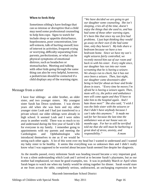#### **When to Seek Help**

Sometimes sibling's have feelings that can so intense or disruptive that a child may need some professional counseling to help him cope. Signs to watch for include sleep or appetite disturbance, hopelessness, poor concentration, low self‐esteem, talk of hurting oneself, loss of interest in activities, frequent crying or worrying, difficulty separating from parents, perfectionism, or what can be physical symptoms of emotional distress, such as headaches or stomachaches. Meeting and talking with other kids going through the same thing can also be very helpful, however, a pediatrician should be contacted if a child displays any of the warning signs.

#### Message from a sister

I have four siblings: an older brother, an older sister, and two younger sisters. My youngest sister Sarah has Down syndrome. I was eleven years old when she was born and my other younger sister Leah and I had just transferred to a private school; our older siblings were already in high school. It seemed Leah and I were miles away in another world. There was so much to try and understand during the first year of Sarah's life for everyone in my family. I remember going to appointments with my parents and meeting the Cardiologists and Ophthalmologist who introduced themselves to me as if we would be

*"We have decided we are going to get our daughter some counseling. She isn't sleeping, cries all of the time, doesn't enjoy the things that she used to, and has had some of those other warning signs. It's been like that since my son first had problems. I just kept thinking they would go away on their own if she had some time, only they haven't. My kids share a bedroom because we have a two bedroom home. Since we have my son's night seizures fairly controlled, we recently moved him out of our room and back in with his sister. Every night since, our daughter has run into our room screaming that he is having a seizure. We always run to check, but it has not once been a seizure. Then, last night, our daughter came downstairs after being in bed for about an hour and broke down in tears. "Every time he moves I'm afraid he is having a seizure again. Then, mom will cry, the police and ambulance men will come again and they'll have to take him to the hospital again. And I hate those men!" She also said, "I wish I was the little sister with the seizures or that I didn't have anybody because I can't take this anymore." It made me sad for her because the last time the ambulance was at our house was six months ago. For her to still be terrified told me that she still must be harboring a great deal of stress, anxiety, and responsibility." A mom* 

seeing each other again. A lot of this went over my head but I wanted to understand and I wanted my baby sister to be healthy. It seems like everything was so unknown then and I didn't really know what I was supposed to be worried about because Sarah seemed fine despite her diagnosis.

As the months passed, every milestone Sarah was heading toward became a very important goal. It was a silent understanding which Leah and I arrived at to become Sarah's playmates, but as our mother had emphasized, we must be good examples, too. It was in probably March or April when Sarah began to watch me when my family would be sitting together for dinner. Sarah would stare at me from across the table, completely serious, undistracted, an unchanging expression on her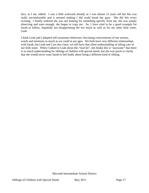face, as I ate, talked. I was a little awkward already as I was almost 12 years old but this was really uncomfortable and it seemed nothing I did could break her gaze. She did this every evening. I finally realized she was not looking for something specific from me, she was simply observing and soon enough, she began to copy me. So, I have tried to be a good example for Sarah to follow, hopefully not disappointing her too much as well as for my other little sister, Leah.

I think Leah and I adopted self-awareness behaviors, becoming conscientious of our actions, words and emotions as much as we could at our ages. We both have very different relationships with Sarah, but Leah and I are also close, we still have that silent understanding of taking care of our little sister. When I talked to Leah about this "tool kit", she thinks this is "awesome" that there is so much understanding for siblings of children will special needs, but she was quick to clarify that she would never want Sarah to feel badly about being a different kind of sibling.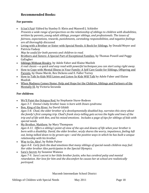## **Recommended Books:**

#### **For parents:**

- It Isn't Fair! Edited by Stanley D. Klein and Maxwell J. Schleifer *Presents a wide range of perspectives on the relationship of siblings to children with disabilities, written by parents, young adult siblings, younger siblings, and professionals. The issues of fairness, expectations, rewards, punishments, caretaking responsibilities, and negative feelings are all thoroughly discussed.*
- Living with a Brother or Sister with Special Needs: A Book for Siblings, by Donald Meyer and Patricia Vadasy
	- *May be useful for both parents and children to read.*
- Brothers and Sisters: A Special Part of Exceptional Families, by Thomas Powell and Peggy Gallagher
- Siblings Without Rivalry, by Adele Faber and Elaine Mazlish *A real classic—a quick and easy read with powerful techniques you can start using right away.*
- How to Cope with Mental Illness in Your Family: A Self Care Guide for Siblings, Offspring and Parents, by Diane Marsh, Rex Dickens and E. Fuller Torrey
- How to Talk So Kids Will Listen and Listen So Kids Will Talk by Adele Faber and Elaine Mazlish
- When Madness Comes Home: Help and Hope for the Children, Siblings and Partners of the Mentally Ill, by Victoria Secunda

#### **For children:**

- We'll Paint the Octopus Red, by Stephanie Stuve-Bodeen *Ages 37. Emma's baby brother Isaac is born with Down syndrome.*
- Ben, King of the River, by David Gifaldi *Ages 58. Chad, the older brother of a developmentally disabled boy, narrates this story about the family's first camping trip. Chad's frank storytelling gets across the highs and lows of the* trip and of life with Ben, and his mixed emotions. Includes a page of tips for siblings of kids with *special needs.*
- My Brother, Matthew, by Mary Thompson Ages 4-11. Offers a sibling's point-of-view of the ups and downs of life when your brother is *born with a disability. David, the older brother, wryly shares the worry, impatience, feeling left out, being talked down to by grownups—and the positive ways in which he has built a unique relationship with his brother.*
- Way to Go, Alex!, by Robin Pulver Ages 4-8. Carly feels the dual emotions that many siblings of special-needs children may feel. *in the Special Olympics. Her older brother Alex participates*
- Sara's Secret, by Suzanne Wanous *Ages 79. Sara's secret is her little brother Justin, who has cerebral palsy and mental retardation. Her love for him and the discomfort he causes her at school are realistically portrayed.*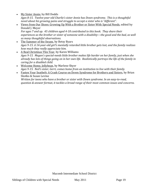- My Sister Annie, by Bill Dodds *Ages 815. Twelveyearold Charlie's sister Annie has Down syndrome. This is a thoughtful novel about his growing pains and struggle to accept a sister who is "different".*
- Views from Our Shoes: Growing Up With a Brother or Sister With Special Needs, edited by Donald J. Meyer *For ages 7 and up. 45 children aged 418 contributed to this book. They share their*

*experiences as the brother or sister of someone with a disability—the good and the bad, as well as many thoughtful observations.*

- The Summer of the Swans, by Betsy Byars *Ages 915. A 14yearold girl's mentally retarded little brother gets lost, and the family realizes how much they really appreciate him.*
- A Real Christmas This Year, by Karen Williams *Ages 915. Megan's specialneeds little brother makes life harder on her family, just when she* already has lots of things going on in her own life. Realistically portrays the life of the family in *caring for a disabled child.*
- Welcome Home, Jellybean, by Marlene Shyer *Ages 915. Neil's sister, Gerri, comes home from an institution to live with their family.*
- Fasten Your Seatbelt: A Crash Course on Down Syndrome for Brothers and Sisters, by Brian Skotko & Susan Levine

*Written for teens who have a brother or sister with Down syndrome. In an easytoread, question & answer format, it tackles a broad range of their most common issues and concerns.*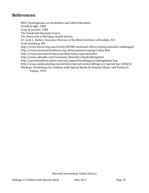# **References:**

ERIC Clearinghouse on Disabilities and Gifted Education Powell & Ogle, 1985 Crnic & Leconte, 1986 The Vanderbilt Kennedy Center The University of Michigan Health System Dr. Scott L. Barkin, Executive Director of the Block Institute in Brooklyn, N.Y [http://www.](http://www.google.com/url?q=http%3A%2F%2Fwww.athealth.com%2FConsumer%2Fdisorders%2Fdisabsibling.html&sa=D&sntz=1&usg=AFQjCNEJNiwaRDFkao_-XtyQ9jR2Iyol_g)[livestron](http://www.google.com/url?q=http%3A%2F%2Fwww.med.umich.edu%2Fyourchild%2Ftopics%2Fspecneed.htm&sa=D&sntz=1&usg=AFQjCNFUWpc09gNFGoNH48_I4lNK4neNlw)[g](http://www.google.com/url?q=http%3A%2F%2Fwww.athealth.com%2FConsumer%2Fdisorders%2Fdisabsibling.html&sa=D&sntz=1&usg=AFQjCNEJNiwaRDFkao_-XtyQ9jR2Iyol_g)[.](http://www.google.com/url?q=http%3A%2F%2Fwww.med.umich.edu%2Fyourchild%2Ftopics%2Fspecneed.htm&sa=D&sntz=1&usg=AFQjCNFUWpc09gNFGoNH48_I4lNK4neNlw)[c](http://www.google.com/url?q=http%3A%2F%2Fwww.athealth.com%2FConsumer%2Fdisorders%2Fdisabsibling.html&sa=D&sntz=1&usg=AFQjCNEJNiwaRDFkao_-XtyQ9jR2Iyol_g)[o](http://www.google.com/url?q=http%3A%2F%2Fwww.med.umich.edu%2Fyourchild%2Ftopics%2Fspecneed.htm&sa=D&sntz=1&usg=AFQjCNFUWpc09gNFGoNH48_I4lNK4neNlw)[m/](http://www.google.com/url?q=http%3A%2F%2Fwww.athealth.com%2FConsumer%2Fdisorders%2Fdisabsibling.html&sa=D&sntz=1&usg=AFQjCNEJNiwaRDFkao_-XtyQ9jR2Iyol_g)[article/82908](http://www.google.com/url?q=http%3A%2F%2Fwww.med.umich.edu%2Fyourchild%2Ftopics%2Fspecneed.htm&sa=D&sntz=1&usg=AFQjCNFUWpc09gNFGoNH48_I4lNK4neNlw)-[emotional](http://www.google.com/url?q=http%3A%2F%2Fwww.med.umich.edu%2Fyourchild%2Ftopics%2Fspecneed.htm&sa=D&sntz=1&usg=AFQjCNFUWpc09gNFGoNH48_I4lNK4neNlw)-e[ffects](http://www.google.com/url?q=http%3A%2F%2Fwww.med.umich.edu%2Fyourchild%2Ftopics%2Fspecneed.htm&sa=D&sntz=1&usg=AFQjCNFUWpc09gNFGoNH48_I4lNK4neNlw)-having-mentally-challenged/ [Scott Steinber](http://www.google.com/url?q=http%3A%2F%2Fwww.med.umich.edu%2Fyourchild%2Ftopics%2Fspecneed.htm&sa=D&sntz=1&usg=AFQjCNFUWpc09gNFGoNH48_I4lNK4neNlw)g, MD [http://www.cincinnatichildrens.org/about/patient/coping/r](http://www.google.com/url?q=http%3A%2F%2Fspecialchildren.about.com%2Fod%2Fsupportforsiblings%2Fa%2Fsiblingsknow.htm&sa=D&sntz=1&usg=AFQjCNGqJ-dW8NGHS5C4bbeNf84J3FYiyA)[ivalry](http://www.google.com/url?q=http%3A%2F%2Fwww.athealth.com%2FConsumer%2Fdisorders%2Fdisabsibling.html&sa=D&sntz=1&usg=AFQjCNEJNiwaRDFkao_-XtyQ9jR2Iyol_g).htm [http://www.med.umich.edu/yourchild/topics/sp](http://www.google.com/url?q=http%3A%2F%2Fwww.childrentoday.com%2Farticles%2Fspecial-needs%2Fsiblings-are-special-too-4268%2F3%2F&sa=D&sntz=1&usg=AFQjCNHds8-PPgVdl7BUtnY6DAmGkHs89w)ecneed.htm http://www.athealth.com/Consumer/disorders[/disabsibling.html](http://www.google.com/url?q=http%3A%2F%2Fwww.childrentoday.com%2Farticles%2Fspecial-needs%2Fsiblings-are-special-too-4268%2F3%2F&sa=D&sntz=1&usg=AFQjCNHds8-PPgVdl7BUtnY6DAmGkHs89w) http://specialchildren.about.com/od/supportforsiblings/a/siblingsknow.htm http://www.childrentoday.com/articles/special-needs/siblings-are-special-too-4268/3/ Sibshops: Workshops for Children with Special Needs by Donald J.Meyer and Patricia F. Vadasy, 1994